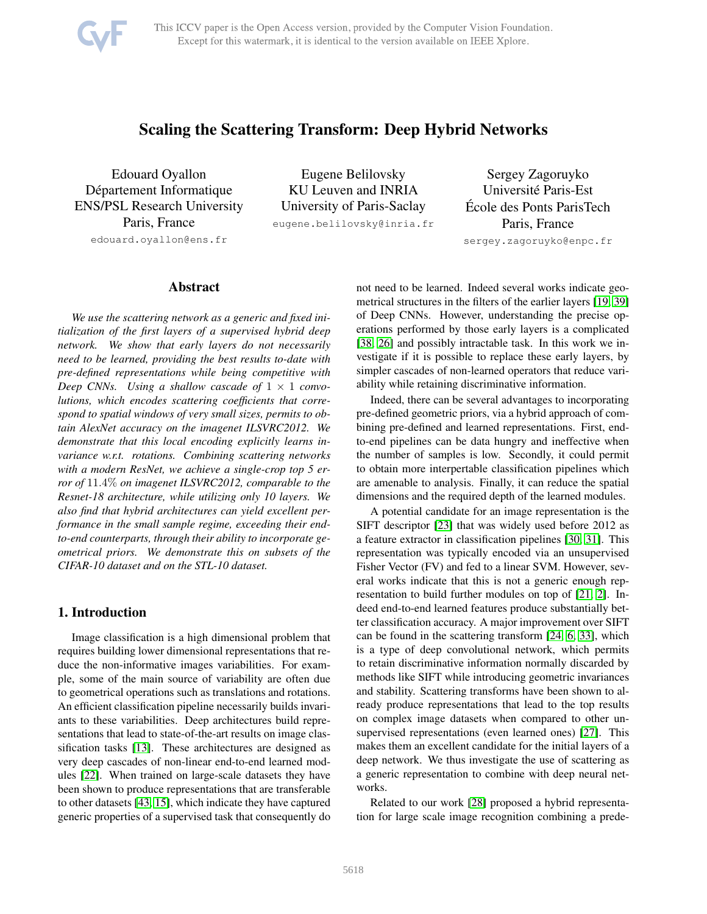

# Scaling the Scattering Transform: Deep Hybrid Networks

Edouard Oyallon Département Informatique ENS/PSL Research University Paris, France edouard.oyallon@ens.fr

Eugene Belilovsky KU Leuven and INRIA University of Paris-Saclay eugene.belilovsky@inria.fr

Sergey Zagoruyko Universite Paris-Est ´ Ecole des Ponts ParisTech ´ Paris, France sergey.zagoruyko@enpc.fr

## Abstract

*We use the scattering network as a generic and fixed initialization of the first layers of a supervised hybrid deep network. We show that early layers do not necessarily need to be learned, providing the best results to-date with pre-defined representations while being competitive with Deep CNNs.* Using a shallow cascade of  $1 \times 1$  *convolutions, which encodes scattering coefficients that correspond to spatial windows of very small sizes, permits to obtain AlexNet accuracy on the imagenet ILSVRC2012. We demonstrate that this local encoding explicitly learns invariance w.r.t. rotations. Combining scattering networks with a modern ResNet, we achieve a single-crop top 5 error of* 11.4% *on imagenet ILSVRC2012, comparable to the Resnet-18 architecture, while utilizing only 10 layers. We also find that hybrid architectures can yield excellent performance in the small sample regime, exceeding their endto-end counterparts, through their ability to incorporate geometrical priors. We demonstrate this on subsets of the CIFAR-10 dataset and on the STL-10 dataset.*

## 1. Introduction

Image classification is a high dimensional problem that requires building lower dimensional representations that reduce the non-informative images variabilities. For example, some of the main source of variability are often due to geometrical operations such as translations and rotations. An efficient classification pipeline necessarily builds invariants to these variabilities. Deep architectures build representations that lead to state-of-the-art results on image classification tasks [\[13\]](#page-8-0). These architectures are designed as very deep cascades of non-linear end-to-end learned modules [\[22\]](#page-9-0). When trained on large-scale datasets they have been shown to produce representations that are transferable to other datasets [\[43,](#page-9-1) [15\]](#page-8-1), which indicate they have captured generic properties of a supervised task that consequently do

not need to be learned. Indeed several works indicate geometrical structures in the filters of the earlier layers [\[19,](#page-8-2) [39\]](#page-9-2) of Deep CNNs. However, understanding the precise operations performed by those early layers is a complicated [\[38,](#page-9-3) [26\]](#page-9-4) and possibly intractable task. In this work we investigate if it is possible to replace these early layers, by simpler cascades of non-learned operators that reduce variability while retaining discriminative information.

Indeed, there can be several advantages to incorporating pre-defined geometric priors, via a hybrid approach of combining pre-defined and learned representations. First, endto-end pipelines can be data hungry and ineffective when the number of samples is low. Secondly, it could permit to obtain more interpertable classification pipelines which are amenable to analysis. Finally, it can reduce the spatial dimensions and the required depth of the learned modules.

A potential candidate for an image representation is the SIFT descriptor [\[23\]](#page-9-5) that was widely used before 2012 as a feature extractor in classification pipelines [\[30,](#page-9-6) [31\]](#page-9-7). This representation was typically encoded via an unsupervised Fisher Vector (FV) and fed to a linear SVM. However, several works indicate that this is not a generic enough representation to build further modules on top of [\[21,](#page-9-8) [2\]](#page-8-3). Indeed end-to-end learned features produce substantially better classification accuracy. A major improvement over SIFT can be found in the scattering transform [\[24,](#page-9-9) [6,](#page-8-4) [33\]](#page-9-10), which is a type of deep convolutional network, which permits to retain discriminative information normally discarded by methods like SIFT while introducing geometric invariances and stability. Scattering transforms have been shown to already produce representations that lead to the top results on complex image datasets when compared to other unsupervised representations (even learned ones) [\[27\]](#page-9-11). This makes them an excellent candidate for the initial layers of a deep network. We thus investigate the use of scattering as a generic representation to combine with deep neural networks.

Related to our work [\[28\]](#page-9-12) proposed a hybrid representation for large scale image recognition combining a prede-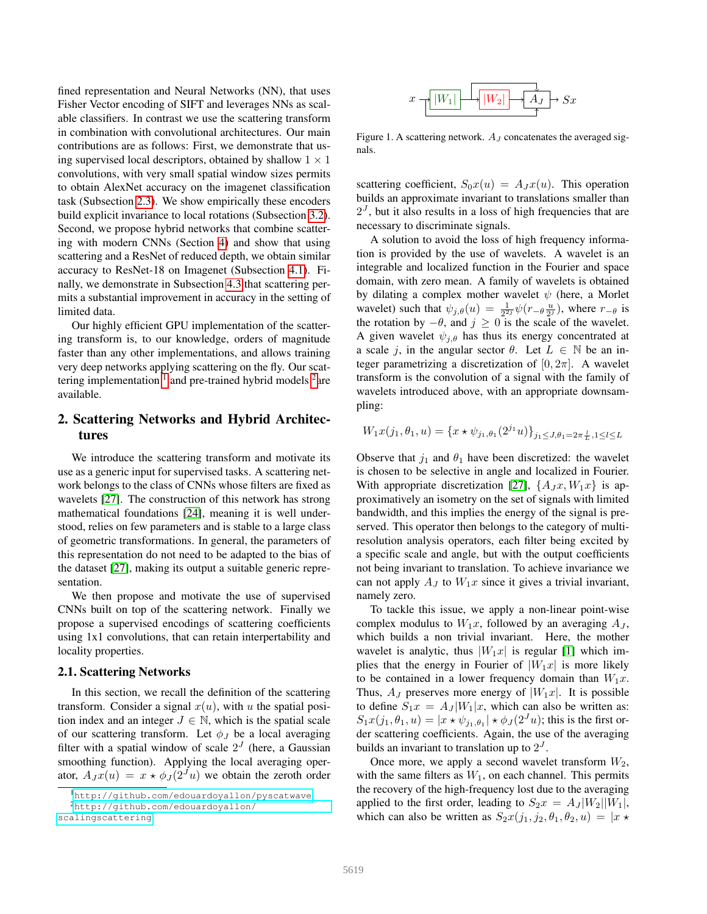fined representation and Neural Networks (NN), that uses Fisher Vector encoding of SIFT and leverages NNs as scalable classifiers. In contrast we use the scattering transform in combination with convolutional architectures. Our main contributions are as follows: First, we demonstrate that using supervised local descriptors, obtained by shallow  $1 \times 1$ convolutions, with very small spatial window sizes permits to obtain AlexNet accuracy on the imagenet classification task (Subsection [2.3\)](#page-2-0). We show empirically these encoders build explicit invariance to local rotations (Subsection [3.2\)](#page-4-0). Second, we propose hybrid networks that combine scattering with modern CNNs (Section [4\)](#page-5-0) and show that using scattering and a ResNet of reduced depth, we obtain similar accuracy to ResNet-18 on Imagenet (Subsection [4.1\)](#page-5-1). Finally, we demonstrate in Subsection [4.3](#page-6-0) that scattering permits a substantial improvement in accuracy in the setting of limited data.

Our highly efficient GPU implementation of the scattering transform is, to our knowledge, orders of magnitude faster than any other implementations, and allows training very deep networks applying scattering on the fly. Our scattering implementation  $1$  and pre-trained hybrid models  $2$  are available.

## 2. Scattering Networks and Hybrid Architectures

We introduce the scattering transform and motivate its use as a generic input for supervised tasks. A scattering network belongs to the class of CNNs whose filters are fixed as wavelets [\[27\]](#page-9-11). The construction of this network has strong mathematical foundations [\[24\]](#page-9-9), meaning it is well understood, relies on few parameters and is stable to a large class of geometric transformations. In general, the parameters of this representation do not need to be adapted to the bias of the dataset [\[27\]](#page-9-11), making its output a suitable generic representation.

We then propose and motivate the use of supervised CNNs built on top of the scattering network. Finally we propose a supervised encodings of scattering coefficients using 1x1 convolutions, that can retain interpertability and locality properties.

#### <span id="page-1-2"></span>2.1. Scattering Networks

In this section, we recall the definition of the scattering transform. Consider a signal  $x(u)$ , with u the spatial position index and an integer  $J \in \mathbb{N}$ , which is the spatial scale of our scattering transform. Let  $\phi_J$  be a local averaging filter with a spatial window of scale  $2<sup>J</sup>$  (here, a Gaussian smoothing function). Applying the local averaging operator,  $A_J x(u) = x \star \phi_J(2^J u)$  we obtain the zeroth order



Figure 1. A scattering network.  $A_J$  concatenates the averaged signals.

scattering coefficient,  $S_0x(u) = A_Jx(u)$ . This operation builds an approximate invariant to translations smaller than  $2<sup>J</sup>$ , but it also results in a loss of high frequencies that are necessary to discriminate signals.

A solution to avoid the loss of high frequency information is provided by the use of wavelets. A wavelet is an integrable and localized function in the Fourier and space domain, with zero mean. A family of wavelets is obtained by dilating a complex mother wavelet  $\psi$  (here, a Morlet wavelet) such that  $\psi_{j,\theta}(u) = \frac{1}{2^2} \psi(r-\theta \frac{u}{2^j})$ , where  $r-\theta$  is the rotation by  $-\theta$ , and  $j \ge 0$  is the scale of the wavelet. A given wavelet  $\psi_{j,\theta}$  has thus its energy concentrated at a scale j, in the angular sector  $\theta$ . Let  $L \in \mathbb{N}$  be an integer parametrizing a discretization of  $[0, 2\pi]$ . A wavelet transform is the convolution of a signal with the family of wavelets introduced above, with an appropriate downsampling:

$$
W_1 x(j_1, \theta_1, u) = \{x \star \psi_{j_1, \theta_1}(2^{j_1}u)\}_{j_1 \le J, \theta_1 = 2\pi \frac{L}{L}, 1 \le l \le L}
$$

Observe that  $j_1$  and  $\theta_1$  have been discretized: the wavelet is chosen to be selective in angle and localized in Fourier. With appropriate discretization [\[27\]](#page-9-11),  $\{A_Jx, W_1x\}$  is approximatively an isometry on the set of signals with limited bandwidth, and this implies the energy of the signal is preserved. This operator then belongs to the category of multiresolution analysis operators, each filter being excited by a specific scale and angle, but with the output coefficients not being invariant to translation. To achieve invariance we can not apply  $A_J$  to  $W_1x$  since it gives a trivial invariant, namely zero.

To tackle this issue, we apply a non-linear point-wise complex modulus to  $W_1x$ , followed by an averaging  $A_J$ , which builds a non trivial invariant. Here, the mother wavelet is analytic, thus  $|W_1x|$  is regular [\[1\]](#page-8-5) which implies that the energy in Fourier of  $|W_1x|$  is more likely to be contained in a lower frequency domain than  $W_1x$ . Thus,  $A_J$  preserves more energy of  $|W_1x|$ . It is possible to define  $S_1x = A_J |W_1|x$ , which can also be written as:  $S_1x(j_1, \theta_1, u) = |x \star \psi_{j_1, \theta_1}| \star \phi_J(2^J u)$ ; this is the first order scattering coefficients. Again, the use of the averaging builds an invariant to translation up to  $2<sup>J</sup>$ .

Once more, we apply a second wavelet transform  $W_2$ , with the same filters as  $W_1$ , on each channel. This permits the recovery of the high-frequency lost due to the averaging applied to the first order, leading to  $S_2x = A_J |W_2||W_1|$ , which can also be written as  $S_2x(j_1, j_2, \theta_1, \theta_2, u) = |x \star$ 

<span id="page-1-1"></span><span id="page-1-0"></span><sup>1</sup><http://github.com/edouardoyallon/pyscatwave>

<sup>2</sup>[http://github.com/edouardoyallon/](http://github.com/edouardoyallon/scalingscattering)

[scalingscattering](http://github.com/edouardoyallon/scalingscattering)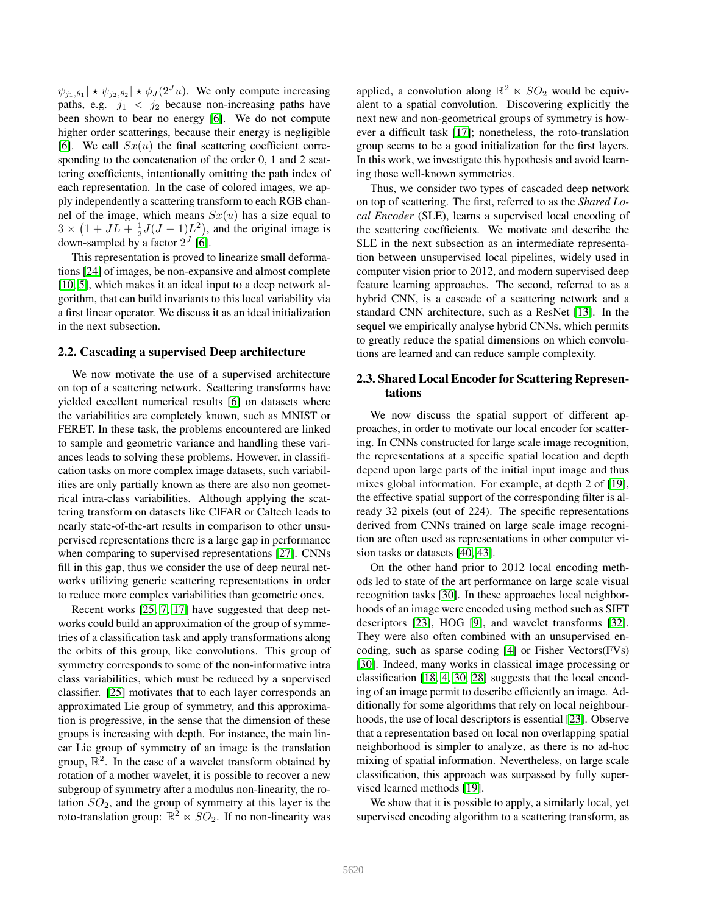$\psi_{j_1,\theta_1} \times \psi_{j_2,\theta_2} \times \phi_J(2^J u)$ . We only compute increasing paths, e.g.  $j_1 < j_2$  because non-increasing paths have been shown to bear no energy [\[6\]](#page-8-4). We do not compute higher order scatterings, because their energy is negligible [\[6\]](#page-8-4). We call  $Sx(u)$  the final scattering coefficient corresponding to the concatenation of the order 0, 1 and 2 scattering coefficients, intentionally omitting the path index of each representation. In the case of colored images, we apply independently a scattering transform to each RGB channel of the image, which means  $Sx(u)$  has a size equal to  $3 \times (1 + JL + \frac{1}{2}J(J - 1)L^2)$ , and the original image is down-sampled by a factor  $2^J$  [\[6\]](#page-8-4).

This representation is proved to linearize small deformations [\[24\]](#page-9-9) of images, be non-expansive and almost complete [\[10,](#page-8-6) [5\]](#page-8-7), which makes it an ideal input to a deep network algorithm, that can build invariants to this local variability via a first linear operator. We discuss it as an ideal initialization in the next subsection.

#### 2.2. Cascading a supervised Deep architecture

We now motivate the use of a supervised architecture on top of a scattering network. Scattering transforms have yielded excellent numerical results [\[6\]](#page-8-4) on datasets where the variabilities are completely known, such as MNIST or FERET. In these task, the problems encountered are linked to sample and geometric variance and handling these variances leads to solving these problems. However, in classification tasks on more complex image datasets, such variabilities are only partially known as there are also non geometrical intra-class variabilities. Although applying the scattering transform on datasets like CIFAR or Caltech leads to nearly state-of-the-art results in comparison to other unsupervised representations there is a large gap in performance when comparing to supervised representations [\[27\]](#page-9-11). CNNs fill in this gap, thus we consider the use of deep neural networks utilizing generic scattering representations in order to reduce more complex variabilities than geometric ones.

Recent works [\[25,](#page-9-13) [7,](#page-8-8) [17\]](#page-8-9) have suggested that deep networks could build an approximation of the group of symmetries of a classification task and apply transformations along the orbits of this group, like convolutions. This group of symmetry corresponds to some of the non-informative intra class variabilities, which must be reduced by a supervised classifier. [\[25\]](#page-9-13) motivates that to each layer corresponds an approximated Lie group of symmetry, and this approximation is progressive, in the sense that the dimension of these groups is increasing with depth. For instance, the main linear Lie group of symmetry of an image is the translation group,  $\mathbb{R}^2$ . In the case of a wavelet transform obtained by rotation of a mother wavelet, it is possible to recover a new subgroup of symmetry after a modulus non-linearity, the rotation  $SO_2$ , and the group of symmetry at this layer is the roto-translation group:  $\mathbb{R}^2 \ltimes SO_2$ . If no non-linearity was

applied, a convolution along  $\mathbb{R}^2 \ltimes SO_2$  would be equivalent to a spatial convolution. Discovering explicitly the next new and non-geometrical groups of symmetry is however a difficult task [\[17\]](#page-8-9); nonetheless, the roto-translation group seems to be a good initialization for the first layers. In this work, we investigate this hypothesis and avoid learning those well-known symmetries.

Thus, we consider two types of cascaded deep network on top of scattering. The first, referred to as the *Shared Local Encoder* (SLE), learns a supervised local encoding of the scattering coefficients. We motivate and describe the SLE in the next subsection as an intermediate representation between unsupervised local pipelines, widely used in computer vision prior to 2012, and modern supervised deep feature learning approaches. The second, referred to as a hybrid CNN, is a cascade of a scattering network and a standard CNN architecture, such as a ResNet [\[13\]](#page-8-0). In the sequel we empirically analyse hybrid CNNs, which permits to greatly reduce the spatial dimensions on which convolutions are learned and can reduce sample complexity.

## <span id="page-2-0"></span>2.3. Shared Local Encoder for Scattering Representations

We now discuss the spatial support of different approaches, in order to motivate our local encoder for scattering. In CNNs constructed for large scale image recognition, the representations at a specific spatial location and depth depend upon large parts of the initial input image and thus mixes global information. For example, at depth 2 of [\[19\]](#page-8-2), the effective spatial support of the corresponding filter is already 32 pixels (out of 224). The specific representations derived from CNNs trained on large scale image recognition are often used as representations in other computer vision tasks or datasets [\[40,](#page-9-14) [43\]](#page-9-1).

On the other hand prior to 2012 local encoding methods led to state of the art performance on large scale visual recognition tasks [\[30\]](#page-9-6). In these approaches local neighborhoods of an image were encoded using method such as SIFT descriptors [\[23\]](#page-9-5), HOG [\[9\]](#page-8-10), and wavelet transforms [\[32\]](#page-9-15). They were also often combined with an unsupervised encoding, such as sparse coding [\[4\]](#page-8-11) or Fisher Vectors(FVs) [\[30\]](#page-9-6). Indeed, many works in classical image processing or classification [\[18,](#page-8-12) [4,](#page-8-11) [30,](#page-9-6) [28\]](#page-9-12) suggests that the local encoding of an image permit to describe efficiently an image. Additionally for some algorithms that rely on local neighbourhoods, the use of local descriptors is essential [\[23\]](#page-9-5). Observe that a representation based on local non overlapping spatial neighborhood is simpler to analyze, as there is no ad-hoc mixing of spatial information. Nevertheless, on large scale classification, this approach was surpassed by fully supervised learned methods [\[19\]](#page-8-2).

We show that it is possible to apply, a similarly local, yet supervised encoding algorithm to a scattering transform, as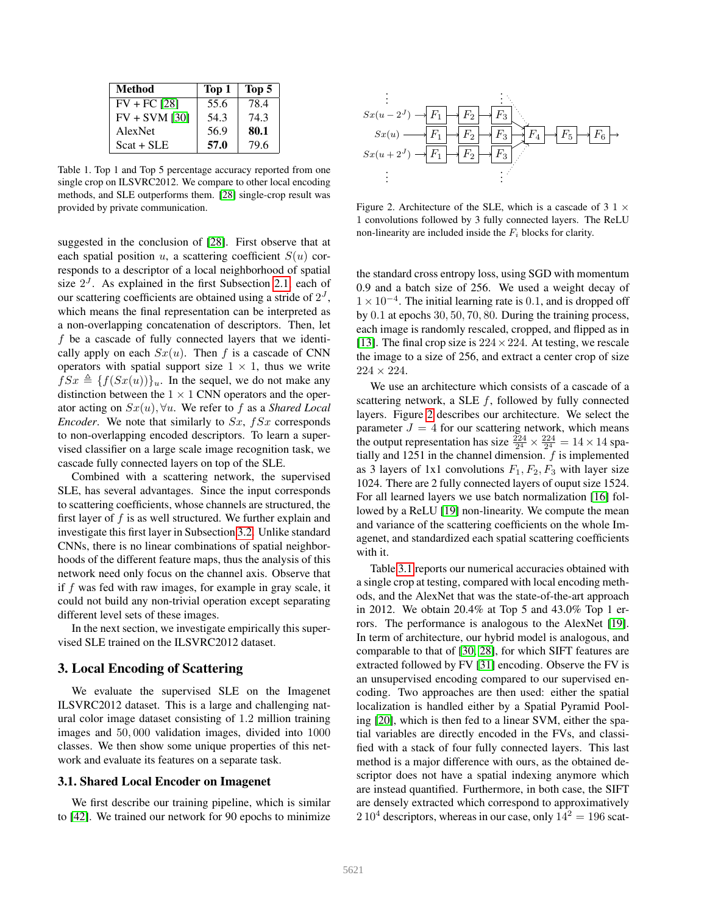| <b>Method</b>   | Top 1 | Top 5 |
|-----------------|-------|-------|
| $FV + FC$ [28]  | 55.6  | 78.4  |
| $FV + SVM$ [30] | 54.3  | 74.3  |
| AlexNet         | 56.9  | 80.1  |
| $Scat + SLE$    | 57.0  | 79.6  |

Table 1. Top 1 and Top 5 percentage accuracy reported from one single crop on ILSVRC2012. We compare to other local encoding methods, and SLE outperforms them. [\[28\]](#page-9-12) single-crop result was provided by private communication.

suggested in the conclusion of [\[28\]](#page-9-12). First observe that at each spatial position u, a scattering coefficient  $S(u)$  corresponds to a descriptor of a local neighborhood of spatial size  $2<sup>J</sup>$ . As explained in the first Subsection [2.1,](#page-1-2) each of our scattering coefficients are obtained using a stride of  $2<sup>J</sup>$ , which means the final representation can be interpreted as a non-overlapping concatenation of descriptors. Then, let  $f$  be a cascade of fully connected layers that we identically apply on each  $Sx(u)$ . Then f is a cascade of CNN operators with spatial support size  $1 \times 1$ , thus we write  $fSx \triangleq \{f(Sx(u))\}_u$ . In the sequel, we do not make any distinction between the  $1 \times 1$  CNN operators and the operator acting on Sx(u), ∀u. We refer to f as a *Shared Local Encoder.* We note that similarly to Sx, fSx corresponds to non-overlapping encoded descriptors. To learn a supervised classifier on a large scale image recognition task, we cascade fully connected layers on top of the SLE.

Combined with a scattering network, the supervised SLE, has several advantages. Since the input corresponds to scattering coefficients, whose channels are structured, the first layer of  $f$  is as well structured. We further explain and investigate this first layer in Subsection [3.2.](#page-4-0) Unlike standard CNNs, there is no linear combinations of spatial neighborhoods of the different feature maps, thus the analysis of this network need only focus on the channel axis. Observe that if f was fed with raw images, for example in gray scale, it could not build any non-trivial operation except separating different level sets of these images.

In the next section, we investigate empirically this supervised SLE trained on the ILSVRC2012 dataset.

## 3. Local Encoding of Scattering

We evaluate the supervised SLE on the Imagenet ILSVRC2012 dataset. This is a large and challenging natural color image dataset consisting of 1.2 million training images and 50, 000 validation images, divided into 1000 classes. We then show some unique properties of this network and evaluate its features on a separate task.

#### <span id="page-3-1"></span>3.1. Shared Local Encoder on Imagenet

We first describe our training pipeline, which is similar to [\[42\]](#page-9-16). We trained our network for 90 epochs to minimize



<span id="page-3-0"></span>Figure 2. Architecture of the SLE, which is a cascade of 3 1  $\times$ 1 convolutions followed by 3 fully connected layers. The ReLU non-linearity are included inside the  $F_i$  blocks for clarity.

the standard cross entropy loss, using SGD with momentum 0.9 and a batch size of 256. We used a weight decay of 1 × 10−<sup>4</sup> . The initial learning rate is 0.1, and is dropped off by 0.1 at epochs 30, 50, 70, 80. During the training process, each image is randomly rescaled, cropped, and flipped as in [\[13\]](#page-8-0). The final crop size is  $224 \times 224$ . At testing, we rescale the image to a size of 256, and extract a center crop of size  $224 \times 224$ .

We use an architecture which consists of a cascade of a scattering network, a SLE  $f$ , followed by fully connected layers. Figure [2](#page-3-0) describes our architecture. We select the parameter  $J = 4$  for our scattering network, which means the output representation has size  $\frac{224}{2^4} \times \frac{224}{2^4} = 14 \times 14$  spatially and 1251 in the channel dimension.  $f$  is implemented as 3 layers of 1x1 convolutions  $F_1, F_2, F_3$  with layer size 1024. There are 2 fully connected layers of ouput size 1524. For all learned layers we use batch normalization [\[16\]](#page-8-13) followed by a ReLU [\[19\]](#page-8-2) non-linearity. We compute the mean and variance of the scattering coefficients on the whole Imagenet, and standardized each spatial scattering coefficients with it.

Table [3.1](#page-3-0) reports our numerical accuracies obtained with a single crop at testing, compared with local encoding methods, and the AlexNet that was the state-of-the-art approach in 2012. We obtain 20.4% at Top 5 and 43.0% Top 1 errors. The performance is analogous to the AlexNet [\[19\]](#page-8-2). In term of architecture, our hybrid model is analogous, and comparable to that of [\[30,](#page-9-6) [28\]](#page-9-12), for which SIFT features are extracted followed by FV [\[31\]](#page-9-7) encoding. Observe the FV is an unsupervised encoding compared to our supervised encoding. Two approaches are then used: either the spatial localization is handled either by a Spatial Pyramid Pooling [\[20\]](#page-9-17), which is then fed to a linear SVM, either the spatial variables are directly encoded in the FVs, and classified with a stack of four fully connected layers. This last method is a major difference with ours, as the obtained descriptor does not have a spatial indexing anymore which are instead quantified. Furthermore, in both case, the SIFT are densely extracted which correspond to approximatively  $2\,10^4$  descriptors, whereas in our case, only  $14^2 = 196$  scat-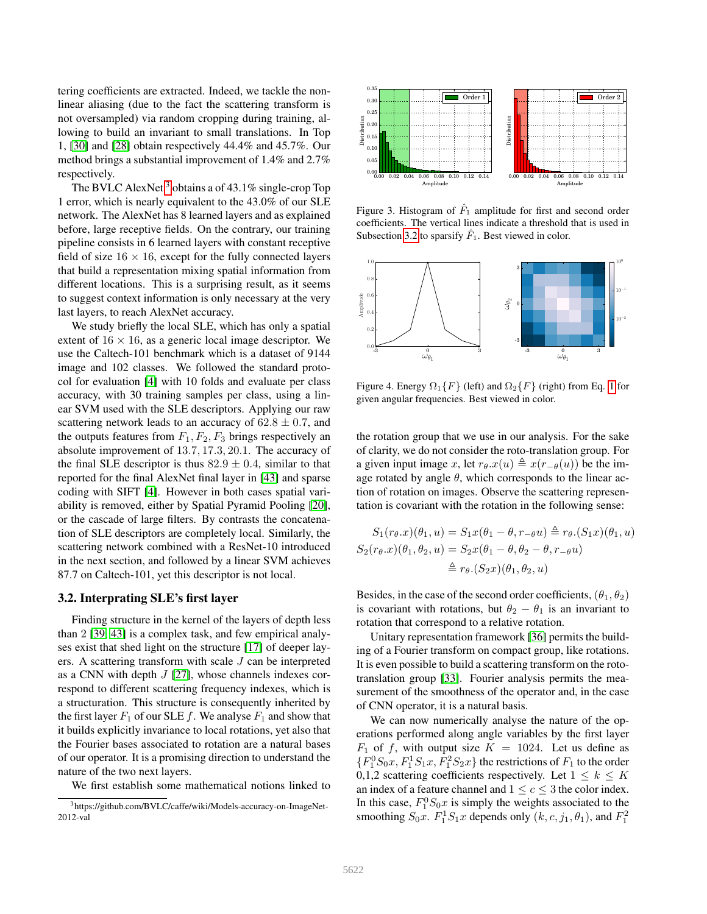tering coefficients are extracted. Indeed, we tackle the nonlinear aliasing (due to the fact the scattering transform is not oversampled) via random cropping during training, allowing to build an invariant to small translations. In Top 1, [\[30\]](#page-9-6) and [\[28\]](#page-9-12) obtain respectively 44.4% and 45.7%. Our method brings a substantial improvement of 1.4% and 2.7% respectively.

The BVLC AlexNet<sup>[3](#page-4-1)</sup> obtains a of  $43.1\%$  single-crop Top 1 error, which is nearly equivalent to the 43.0% of our SLE network. The AlexNet has 8 learned layers and as explained before, large receptive fields. On the contrary, our training pipeline consists in 6 learned layers with constant receptive field of size  $16 \times 16$ , except for the fully connected layers that build a representation mixing spatial information from different locations. This is a surprising result, as it seems to suggest context information is only necessary at the very last layers, to reach AlexNet accuracy.

We study briefly the local SLE, which has only a spatial extent of  $16 \times 16$ , as a generic local image descriptor. We use the Caltech-101 benchmark which is a dataset of 9144 image and 102 classes. We followed the standard protocol for evaluation [\[4\]](#page-8-11) with 10 folds and evaluate per class accuracy, with 30 training samples per class, using a linear SVM used with the SLE descriptors. Applying our raw scattering network leads to an accuracy of  $62.8 \pm 0.7$ , and the outputs features from  $F_1, F_2, F_3$  brings respectively an absolute improvement of 13.7, 17.3, 20.1. The accuracy of the final SLE descriptor is thus  $82.9 \pm 0.4$ , similar to that reported for the final AlexNet final layer in [\[43\]](#page-9-1) and sparse coding with SIFT [\[4\]](#page-8-11). However in both cases spatial variability is removed, either by Spatial Pyramid Pooling [\[20\]](#page-9-17), or the cascade of large filters. By contrasts the concatenation of SLE descriptors are completely local. Similarly, the scattering network combined with a ResNet-10 introduced in the next section, and followed by a linear SVM achieves 87.7 on Caltech-101, yet this descriptor is not local.

## <span id="page-4-0"></span>3.2. Interprating SLE's first layer

Finding structure in the kernel of the layers of depth less than 2 [\[39,](#page-9-2) [43\]](#page-9-1) is a complex task, and few empirical analyses exist that shed light on the structure [\[17\]](#page-8-9) of deeper layers. A scattering transform with scale  $J$  can be interpreted as a CNN with depth  $J$  [\[27\]](#page-9-11), whose channels indexes correspond to different scattering frequency indexes, which is a structuration. This structure is consequently inherited by the first layer  $F_1$  of our SLE  $f$ . We analyse  $F_1$  and show that it builds explicitly invariance to local rotations, yet also that the Fourier bases associated to rotation are a natural bases of our operator. It is a promising direction to understand the nature of the two next layers.

We first establish some mathematical notions linked to



<span id="page-4-2"></span>Figure 3. Histogram of  $\hat{F}_1$  amplitude for first and second order coefficients. The vertical lines indicate a threshold that is used in Subsection [3.2](#page-4-0) to sparsify  $\hat{F}_1$ . Best viewed in color.



<span id="page-4-3"></span>Figure 4. Energy  $\Omega_1\{F\}$  (left) and  $\Omega_2\{F\}$  (right) from Eq. [1](#page-5-2) for given angular frequencies. Best viewed in color.

the rotation group that we use in our analysis. For the sake of clarity, we do not consider the roto-translation group. For a given input image x, let  $r_{\theta} \cdot x(u) \triangleq x(r_{-\theta}(u))$  be the image rotated by angle  $\theta$ , which corresponds to the linear action of rotation on images. Observe the scattering representation is covariant with the rotation in the following sense:

$$
S_1(r_{\theta}.x)(\theta_1, u) = S_1 x(\theta_1 - \theta, r_{-\theta}u) \triangleq r_{\theta}.(S_1 x)(\theta_1, u)
$$
  
\n
$$
S_2(r_{\theta}.x)(\theta_1, \theta_2, u) = S_2 x(\theta_1 - \theta, \theta_2 - \theta, r_{-\theta}u)
$$
  
\n
$$
\triangleq r_{\theta}.(S_2 x)(\theta_1, \theta_2, u)
$$

Besides, in the case of the second order coefficients,  $(\theta_1, \theta_2)$ is covariant with rotations, but  $\theta_2 - \theta_1$  is an invariant to rotation that correspond to a relative rotation.

Unitary representation framework [\[36\]](#page-9-18) permits the building of a Fourier transform on compact group, like rotations. It is even possible to build a scattering transform on the rototranslation group [\[33\]](#page-9-10). Fourier analysis permits the measurement of the smoothness of the operator and, in the case of CNN operator, it is a natural basis.

We can now numerically analyse the nature of the operations performed along angle variables by the first layer  $F_1$  of f, with output size  $K = 1024$ . Let us define as  ${F_1^0S_0x, F_1^1S_1x, F_1^2S_2x}$  the restrictions of  $F_1$  to the order 0,1,2 scattering coefficients respectively. Let  $1 \leq k \leq K$ an index of a feature channel and  $1 \leq c \leq 3$  the color index. In this case,  $F_1^0 S_0 x$  is simply the weights associated to the smoothing  $S_0x$ .  $F_1^1S_1x$  depends only  $(k, c, j_1, \theta_1)$ , and  $F_1^2$ 

<span id="page-4-1"></span><sup>3</sup>https://github.com/BVLC/caffe/wiki/Models-accuracy-on-ImageNet-2012-val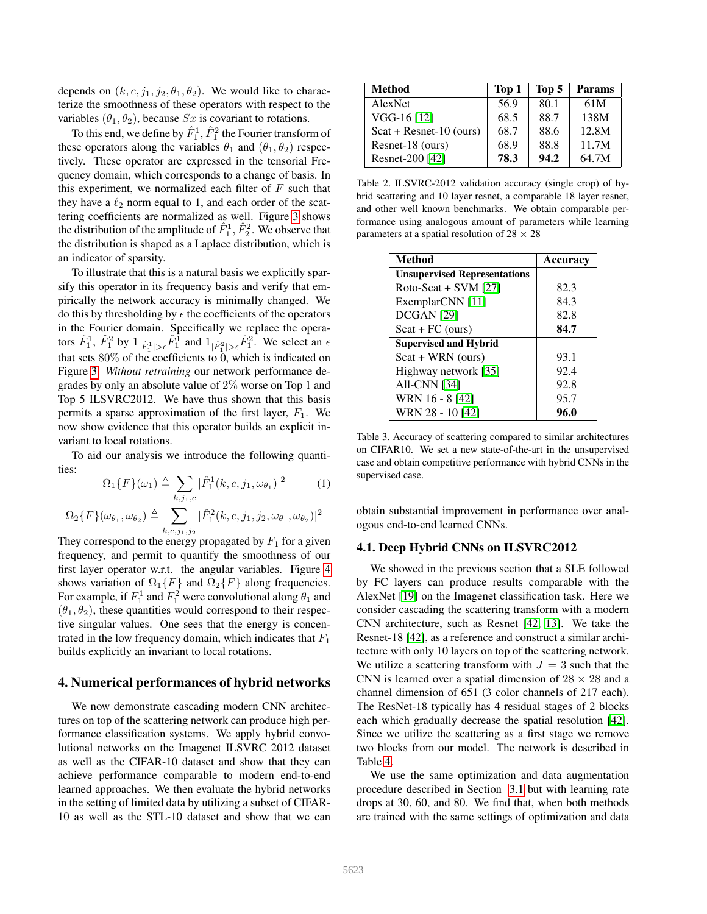depends on  $(k, c, j_1, j_2, \theta_1, \theta_2)$ . We would like to characterize the smoothness of these operators with respect to the variables  $(\theta_1, \theta_2)$ , because Sx is covariant to rotations.

To this end, we define by  $\hat{F}^1_1, \hat{F}^2_1$  the Fourier transform of these operators along the variables  $\theta_1$  and  $(\theta_1, \theta_2)$  respectively. These operator are expressed in the tensorial Frequency domain, which corresponds to a change of basis. In this experiment, we normalized each filter of  $F$  such that they have a  $\ell_2$  norm equal to 1, and each order of the scattering coefficients are normalized as well. Figure [3](#page-4-2) shows the distribution of the amplitude of  $\hat{F}_1^1, \hat{F}_2^2$ . We observe that the distribution is shaped as a Laplace distribution, which is an indicator of sparsity.

To illustrate that this is a natural basis we explicitly sparsify this operator in its frequency basis and verify that empirically the network accuracy is minimally changed. We do this by thresholding by  $\epsilon$  the coefficients of the operators in the Fourier domain. Specifically we replace the operators  $\hat{F}_1^1$ ,  $\hat{F}_1^2$  by  $1_{|\hat{F}_1^1| > \epsilon} \hat{F}_1^1$  and  $1_{|\hat{F}_1^2| > \epsilon} \hat{F}_1^2$ . We select an  $\epsilon$ that sets  $80\%$  of the coefficients to 0, which is indicated on Figure [3.](#page-4-2) *Without retraining* our network performance degrades by only an absolute value of 2% worse on Top 1 and Top 5 ILSVRC2012. We have thus shown that this basis permits a sparse approximation of the first layer,  $F_1$ . We now show evidence that this operator builds an explicit invariant to local rotations.

To aid our analysis we introduce the following quantities:

<span id="page-5-2"></span>
$$
\Omega_1 \{ F \}(\omega_1) \triangleq \sum_{k,j_1,c} |\hat{F}_1^1(k,c,j_1,\omega_{\theta_1})|^2 \tag{1}
$$

$$
\Omega_2 \{ F \}(\omega_{\theta_1},\omega_{\theta_2}) \triangleq \sum_{k,c,j_1,j_2} |\hat{F}_1^2(k,c,j_1,j_2,\omega_{\theta_1},\omega_{\theta_2})|^2
$$

They correspond to the energy propagated by  $F_1$  for a given frequency, and permit to quantify the smoothness of our first layer operator w.r.t. the angular variables. Figure [4](#page-4-3) shows variation of  $\Omega_1\{F\}$  and  $\Omega_2\{F\}$  along frequencies. For example, if  $F_1^1$  and  $F_1^2$  were convolutional along  $\theta_1$  and  $(\theta_1, \theta_2)$ , these quantities would correspond to their respective singular values. One sees that the energy is concentrated in the low frequency domain, which indicates that  $F_1$ builds explicitly an invariant to local rotations.

#### <span id="page-5-0"></span>4. Numerical performances of hybrid networks

We now demonstrate cascading modern CNN architectures on top of the scattering network can produce high performance classification systems. We apply hybrid convolutional networks on the Imagenet ILSVRC 2012 dataset as well as the CIFAR-10 dataset and show that they can achieve performance comparable to modern end-to-end learned approaches. We then evaluate the hybrid networks in the setting of limited data by utilizing a subset of CIFAR-10 as well as the STL-10 dataset and show that we can

| <b>Method</b>             | Top 1 | Top 5 | <b>Params</b> |
|---------------------------|-------|-------|---------------|
| AlexNet                   | 56.9  | 80.1  | 61M           |
| $VGG-16[12]$              | 68.5  | 88.7  | 138M          |
| $Scat + Resnet-10 (ours)$ | 68.7  | 88.6  | 12.8M         |
| Resnet-18 (ours)          | 68.9  | 88.8  | 11.7M         |
| Resnet-200 [42]           | 78.3  | 94.2  | 64.7M         |

<span id="page-5-3"></span>Table 2. ILSVRC-2012 validation accuracy (single crop) of hybrid scattering and 10 layer resnet, a comparable 18 layer resnet, and other well known benchmarks. We obtain comparable performance using analogous amount of parameters while learning parameters at a spatial resolution of  $28 \times 28$ 

| Method                              | <b>Accuracy</b> |
|-------------------------------------|-----------------|
| <b>Unsupervised Representations</b> |                 |
| Roto-Scat + SVM $[27]$              | 82.3            |
| ExemplarCNN [11]                    | 84.3            |
| DCGAN <sup>[29]</sup>               | 82.8            |
| $Scat + FC$ (ours)                  | 84.7            |
| <b>Supervised and Hybrid</b>        |                 |
| $Scat + WRN$ (ours)                 | 93.1            |
| Highway network [35]                | 92.4            |
| <b>All-CNN</b> [34]                 | 92.8            |
| WRN 16 - 8 [42]                     | 95.7            |
| WRN 28 - 10 [42]                    | 96.0            |

Table 3. Accuracy of scattering compared to similar architectures on CIFAR10. We set a new state-of-the-art in the unsupervised case and obtain competitive performance with hybrid CNNs in the supervised case.

obtain substantial improvement in performance over analogous end-to-end learned CNNs.

## <span id="page-5-1"></span>4.1. Deep Hybrid CNNs on ILSVRC2012

We showed in the previous section that a SLE followed by FC layers can produce results comparable with the AlexNet [\[19\]](#page-8-2) on the Imagenet classification task. Here we consider cascading the scattering transform with a modern CNN architecture, such as Resnet [\[42,](#page-9-16) [13\]](#page-8-0). We take the Resnet-18 [\[42\]](#page-9-16), as a reference and construct a similar architecture with only 10 layers on top of the scattering network. We utilize a scattering transform with  $J = 3$  such that the CNN is learned over a spatial dimension of  $28 \times 28$  and a channel dimension of 651 (3 color channels of 217 each). The ResNet-18 typically has 4 residual stages of 2 blocks each which gradually decrease the spatial resolution [\[42\]](#page-9-16). Since we utilize the scattering as a first stage we remove two blocks from our model. The network is described in Table [4.](#page-6-1)

We use the same optimization and data augmentation procedure described in Section [3.1](#page-3-1) but with learning rate drops at 30, 60, and 80. We find that, when both methods are trained with the same settings of optimization and data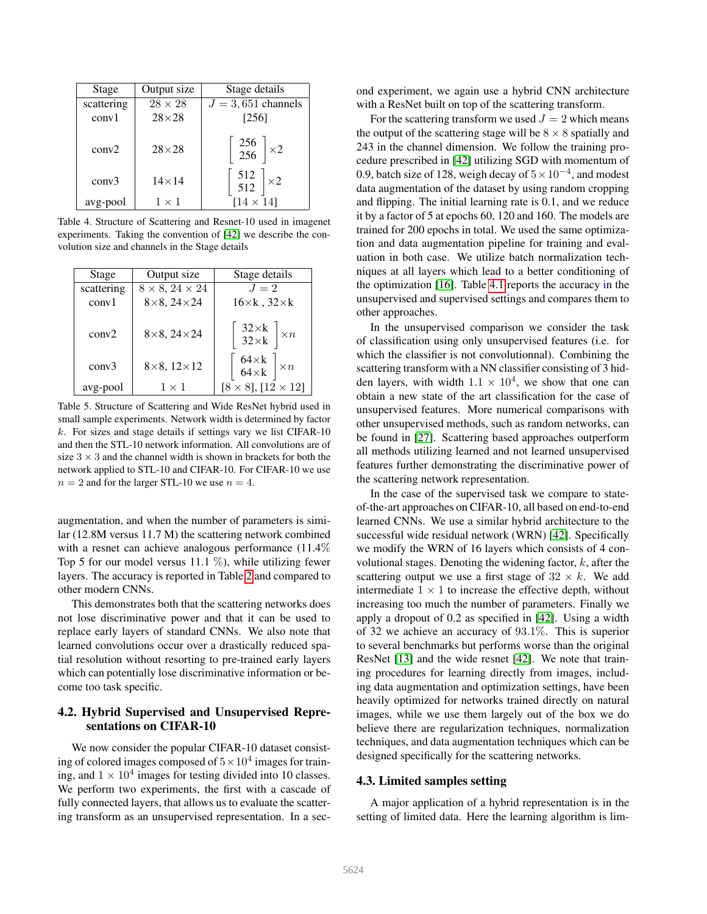| Stage      | Output size    | Stage details                                                   |
|------------|----------------|-----------------------------------------------------------------|
| scattering | $28 \times 28$ | $J = 3,651$ channels                                            |
| conv1      | $28\times28$   | [256]                                                           |
| conv2      | $28\times28$   | $\left[\begin{array}{c} 256 \\ 256 \end{array}\right] \times 2$ |
| conv3      | $14\times14$   | $\begin{bmatrix} 512 \\ 512 \end{bmatrix} \times 2$             |
| avg-pool   | $1 \times 1$   | $[14 \times 14]$                                                |

<span id="page-6-1"></span>Table 4. Structure of Scattering and Resnet-10 used in imagenet experiments. Taking the convention of [\[42\]](#page-9-16) we describe the convolution size and channels in the Stage details

| Stage      | Output size                   | Stage details                                                       |
|------------|-------------------------------|---------------------------------------------------------------------|
| scattering | $8 \times 8$ , $24 \times 24$ | $J=2$                                                               |
| conv1      | $8\times 8$ , $24\times 24$   | $16\times k$ , $32\times k$                                         |
| conv2      | $8\times 8$ , $24\times 24$   | $\begin{bmatrix} 32 \times k \\ 32 \times k \end{bmatrix} \times n$ |
| conv3      | $8\times 8$ , $12\times 12$   | $\begin{bmatrix} 64 \times k \\ 64 \times k \end{bmatrix} \times n$ |
| avg-pool   | $1 \times 1$                  | $[8 \times 8]$ , $[12 \times 12]$                                   |

<span id="page-6-2"></span>Table 5. Structure of Scattering and Wide ResNet hybrid used in small sample experiments. Network width is determined by factor  $k$ . For sizes and stage details if settings vary we list CIFAR-10 and then the STL-10 network information. All convolutions are of size  $3 \times 3$  and the channel width is shown in brackets for both the network applied to STL-10 and CIFAR-10. For CIFAR-10 we use  $n = 2$  and for the larger STL-10 we use  $n = 4$ .

augmentation, and when the number of parameters is similar (12.8M versus 11.7 M) the scattering network combined with a resnet can achieve analogous performance  $(11.4\%)$ Top 5 for our model versus 11.1  $\%$ ), while utilizing fewer layers. The accuracy is reported in Table [2](#page-5-3) and compared to other modern CNNs.

This demonstrates both that the scattering networks does not lose discriminative power and that it can be used to replace early layers of standard CNNs. We also note that learned convolutions occur over a drastically reduced spatial resolution without resorting to pre-trained early layers which can potentially lose discriminative information or become too task specific.

## 4.2. Hybrid Supervised and Unsupervised Representations on CIFAR-10

We now consider the popular CIFAR-10 dataset consisting of colored images composed of  $5 \times 10^4$  images for training, and  $1 \times 10^4$  images for testing divided into 10 classes. We perform two experiments, the first with a cascade of fully connected layers, that allows us to evaluate the scattering transform as an unsupervised representation. In a second experiment, we again use a hybrid CNN architecture with a ResNet built on top of the scattering transform.

For the scattering transform we used  $J = 2$  which means the output of the scattering stage will be  $8 \times 8$  spatially and 243 in the channel dimension. We follow the training procedure prescribed in [\[42\]](#page-9-16) utilizing SGD with momentum of 0.9, batch size of 128, weigh decay of  $5 \times 10^{-4}$ , and modest data augmentation of the dataset by using random cropping and flipping. The initial learning rate is 0.1, and we reduce it by a factor of 5 at epochs 60, 120 and 160. The models are trained for 200 epochs in total. We used the same optimization and data augmentation pipeline for training and evaluation in both case. We utilize batch normalization techniques at all layers which lead to a better conditioning of the optimization [\[16\]](#page-8-13). Table [4.1](#page-5-3) reports the accuracy in the unsupervised and supervised settings and compares them to other approaches.

In the unsupervised comparison we consider the task of classification using only unsupervised features (i.e. for which the classifier is not convolutionnal). Combining the scattering transform with a NN classifier consisting of 3 hidden layers, with width  $1.1 \times 10^4$ , we show that one can obtain a new state of the art classification for the case of unsupervised features. More numerical comparisons with other unsupervised methods, such as random networks, can be found in [\[27\]](#page-9-11). Scattering based approaches outperform all methods utilizing learned and not learned unsupervised features further demonstrating the discriminative power of the scattering network representation.

In the case of the supervised task we compare to stateof-the-art approaches on CIFAR-10, all based on end-to-end learned CNNs. We use a similar hybrid architecture to the successful wide residual network (WRN) [\[42\]](#page-9-16). Specifically we modify the WRN of 16 layers which consists of 4 convolutional stages. Denoting the widening factor,  $k$ , after the scattering output we use a first stage of  $32 \times k$ . We add intermediate  $1 \times 1$  to increase the effective depth, without increasing too much the number of parameters. Finally we apply a dropout of 0.2 as specified in [\[42\]](#page-9-16). Using a width of 32 we achieve an accuracy of 93.1%. This is superior to several benchmarks but performs worse than the original ResNet [\[13\]](#page-8-0) and the wide resnet [\[42\]](#page-9-16). We note that training procedures for learning directly from images, including data augmentation and optimization settings, have been heavily optimized for networks trained directly on natural images, while we use them largely out of the box we do believe there are regularization techniques, normalization techniques, and data augmentation techniques which can be designed specifically for the scattering networks.

### <span id="page-6-0"></span>4.3. Limited samples setting

A major application of a hybrid representation is in the setting of limited data. Here the learning algorithm is lim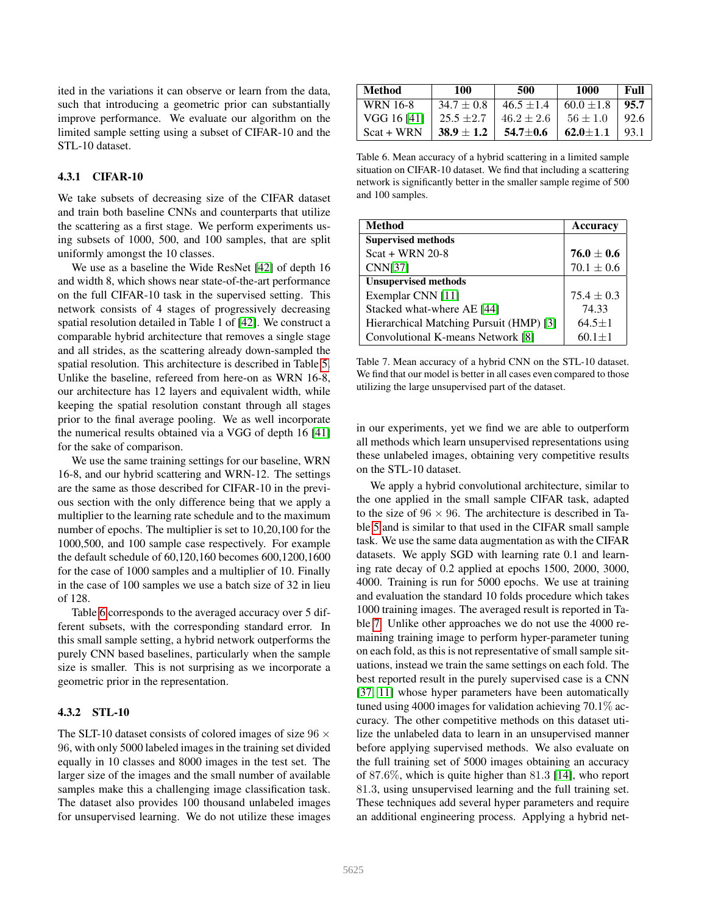ited in the variations it can observe or learn from the data, such that introducing a geometric prior can substantially improve performance. We evaluate our algorithm on the limited sample setting using a subset of CIFAR-10 and the STL-10 dataset.

## 4.3.1 CIFAR-10

We take subsets of decreasing size of the CIFAR dataset and train both baseline CNNs and counterparts that utilize the scattering as a first stage. We perform experiments using subsets of 1000, 500, and 100 samples, that are split uniformly amongst the 10 classes.

We use as a baseline the Wide ResNet [\[42\]](#page-9-16) of depth 16 and width 8, which shows near state-of-the-art performance on the full CIFAR-10 task in the supervised setting. This network consists of 4 stages of progressively decreasing spatial resolution detailed in Table 1 of [\[42\]](#page-9-16). We construct a comparable hybrid architecture that removes a single stage and all strides, as the scattering already down-sampled the spatial resolution. This architecture is described in Table [5.](#page-6-2) Unlike the baseline, refereed from here-on as WRN 16-8, our architecture has 12 layers and equivalent width, while keeping the spatial resolution constant through all stages prior to the final average pooling. We as well incorporate the numerical results obtained via a VGG of depth 16 [\[41\]](#page-9-22) for the sake of comparison.

We use the same training settings for our baseline, WRN 16-8, and our hybrid scattering and WRN-12. The settings are the same as those described for CIFAR-10 in the previous section with the only difference being that we apply a multiplier to the learning rate schedule and to the maximum number of epochs. The multiplier is set to 10,20,100 for the 1000,500, and 100 sample case respectively. For example the default schedule of 60,120,160 becomes 600,1200,1600 for the case of 1000 samples and a multiplier of 10. Finally in the case of 100 samples we use a batch size of 32 in lieu of 128.

Table [6](#page-7-0) corresponds to the averaged accuracy over 5 different subsets, with the corresponding standard error. In this small sample setting, a hybrid network outperforms the purely CNN based baselines, particularly when the sample size is smaller. This is not surprising as we incorporate a geometric prior in the representation.

### 4.3.2 STL-10

The SLT-10 dataset consists of colored images of size  $96 \times$ 96, with only 5000 labeled images in the training set divided equally in 10 classes and 8000 images in the test set. The larger size of the images and the small number of available samples make this a challenging image classification task. The dataset also provides 100 thousand unlabeled images for unsupervised learning. We do not utilize these images

| <b>Method</b> | 100            | 500            | 1000           | Full |
|---------------|----------------|----------------|----------------|------|
| WRN 16-8      | $34.7 \pm 0.8$ | $46.5 \pm 1.4$ | $60.0 \pm 1.8$ | 95.7 |
| VGG 16 [41]   | $25.5 \pm 2.7$ | $46.2 \pm 2.6$ | $56 \pm 1.0$   | 92.6 |
| $Scat + WRN$  | $38.9 \pm 1.2$ | $54.7 + 0.6$   | $62.0 + 1.1$   | 93.1 |

<span id="page-7-0"></span>Table 6. Mean accuracy of a hybrid scattering in a limited sample situation on CIFAR-10 dataset. We find that including a scattering network is significantly better in the smaller sample regime of 500 and 100 samples.

| <b>Method</b>                           | Accuracy       |
|-----------------------------------------|----------------|
| <b>Supervised methods</b>               |                |
| $Scat + WRN 20-8$                       | $76.0 \pm 0.6$ |
| <b>CNN[37]</b>                          | $70.1 \pm 0.6$ |
| <b>Unsupervised methods</b>             |                |
| Exemplar CNN [11]                       | $75.4 \pm 0.3$ |
| Stacked what-where AE [44]              | 74.33          |
| Hierarchical Matching Pursuit (HMP) [3] | $64.5 \pm 1$   |
| Convolutional K-means Network [8]       | $60.1 \pm 1$   |

<span id="page-7-1"></span>Table 7. Mean accuracy of a hybrid CNN on the STL-10 dataset. We find that our model is better in all cases even compared to those utilizing the large unsupervised part of the dataset.

in our experiments, yet we find we are able to outperform all methods which learn unsupervised representations using these unlabeled images, obtaining very competitive results on the STL-10 dataset.

We apply a hybrid convolutional architecture, similar to the one applied in the small sample CIFAR task, adapted to the size of  $96 \times 96$ . The architecture is described in Table [5](#page-6-2) and is similar to that used in the CIFAR small sample task. We use the same data augmentation as with the CIFAR datasets. We apply SGD with learning rate 0.1 and learning rate decay of 0.2 applied at epochs 1500, 2000, 3000, 4000. Training is run for 5000 epochs. We use at training and evaluation the standard 10 folds procedure which takes 1000 training images. The averaged result is reported in Table [7.](#page-7-1) Unlike other approaches we do not use the 4000 remaining training image to perform hyper-parameter tuning on each fold, as this is not representative of small sample situations, instead we train the same settings on each fold. The best reported result in the purely supervised case is a CNN [\[37,](#page-9-23) [11\]](#page-8-15) whose hyper parameters have been automatically tuned using 4000 images for validation achieving 70.1% accuracy. The other competitive methods on this dataset utilize the unlabeled data to learn in an unsupervised manner before applying supervised methods. We also evaluate on the full training set of 5000 images obtaining an accuracy of 87.6%, which is quite higher than 81.3 [\[14\]](#page-8-18), who report 81.3, using unsupervised learning and the full training set. These techniques add several hyper parameters and require an additional engineering process. Applying a hybrid net-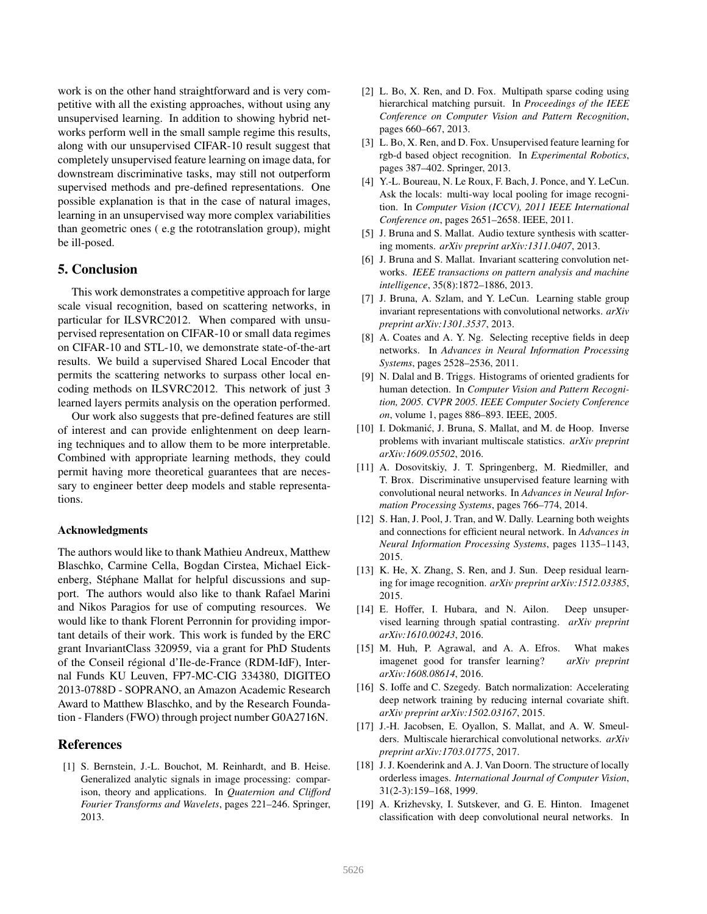work is on the other hand straightforward and is very competitive with all the existing approaches, without using any unsupervised learning. In addition to showing hybrid networks perform well in the small sample regime this results, along with our unsupervised CIFAR-10 result suggest that completely unsupervised feature learning on image data, for downstream discriminative tasks, may still not outperform supervised methods and pre-defined representations. One possible explanation is that in the case of natural images, learning in an unsupervised way more complex variabilities than geometric ones ( e.g the rototranslation group), might be ill-posed.

#### 5. Conclusion

This work demonstrates a competitive approach for large scale visual recognition, based on scattering networks, in particular for ILSVRC2012. When compared with unsupervised representation on CIFAR-10 or small data regimes on CIFAR-10 and STL-10, we demonstrate state-of-the-art results. We build a supervised Shared Local Encoder that permits the scattering networks to surpass other local encoding methods on ILSVRC2012. This network of just 3 learned layers permits analysis on the operation performed.

Our work also suggests that pre-defined features are still of interest and can provide enlightenment on deep learning techniques and to allow them to be more interpretable. Combined with appropriate learning methods, they could permit having more theoretical guarantees that are necessary to engineer better deep models and stable representations.

#### Acknowledgments

The authors would like to thank Mathieu Andreux, Matthew Blaschko, Carmine Cella, Bogdan Cirstea, Michael Eickenberg, Stéphane Mallat for helpful discussions and support. The authors would also like to thank Rafael Marini and Nikos Paragios for use of computing resources. We would like to thank Florent Perronnin for providing important details of their work. This work is funded by the ERC grant InvariantClass 320959, via a grant for PhD Students of the Conseil regional d'Ile-de-France (RDM-IdF), Inter- ´ nal Funds KU Leuven, FP7-MC-CIG 334380, DIGITEO 2013-0788D - SOPRANO, an Amazon Academic Research Award to Matthew Blaschko, and by the Research Foundation - Flanders (FWO) through project number G0A2716N.

#### References

<span id="page-8-5"></span>[1] S. Bernstein, J.-L. Bouchot, M. Reinhardt, and B. Heise. Generalized analytic signals in image processing: comparison, theory and applications. In *Quaternion and Clifford Fourier Transforms and Wavelets*, pages 221–246. Springer, 2013.

- <span id="page-8-3"></span>[2] L. Bo, X. Ren, and D. Fox. Multipath sparse coding using hierarchical matching pursuit. In *Proceedings of the IEEE Conference on Computer Vision and Pattern Recognition*, pages 660–667, 2013.
- <span id="page-8-16"></span>[3] L. Bo, X. Ren, and D. Fox. Unsupervised feature learning for rgb-d based object recognition. In *Experimental Robotics*, pages 387–402. Springer, 2013.
- <span id="page-8-11"></span>[4] Y.-L. Boureau, N. Le Roux, F. Bach, J. Ponce, and Y. LeCun. Ask the locals: multi-way local pooling for image recognition. In *Computer Vision (ICCV), 2011 IEEE International Conference on*, pages 2651–2658. IEEE, 2011.
- <span id="page-8-7"></span>[5] J. Bruna and S. Mallat. Audio texture synthesis with scattering moments. *arXiv preprint arXiv:1311.0407*, 2013.
- <span id="page-8-4"></span>[6] J. Bruna and S. Mallat. Invariant scattering convolution networks. *IEEE transactions on pattern analysis and machine intelligence*, 35(8):1872–1886, 2013.
- <span id="page-8-8"></span>[7] J. Bruna, A. Szlam, and Y. LeCun. Learning stable group invariant representations with convolutional networks. *arXiv preprint arXiv:1301.3537*, 2013.
- <span id="page-8-17"></span>[8] A. Coates and A. Y. Ng. Selecting receptive fields in deep networks. In *Advances in Neural Information Processing Systems*, pages 2528–2536, 2011.
- <span id="page-8-10"></span>[9] N. Dalal and B. Triggs. Histograms of oriented gradients for human detection. In *Computer Vision and Pattern Recognition, 2005. CVPR 2005. IEEE Computer Society Conference on*, volume 1, pages 886–893. IEEE, 2005.
- <span id="page-8-6"></span>[10] I. Dokmanić, J. Bruna, S. Mallat, and M. de Hoop. Inverse problems with invariant multiscale statistics. *arXiv preprint arXiv:1609.05502*, 2016.
- <span id="page-8-15"></span>[11] A. Dosovitskiy, J. T. Springenberg, M. Riedmiller, and T. Brox. Discriminative unsupervised feature learning with convolutional neural networks. In *Advances in Neural Information Processing Systems*, pages 766–774, 2014.
- <span id="page-8-14"></span>[12] S. Han, J. Pool, J. Tran, and W. Dally. Learning both weights and connections for efficient neural network. In *Advances in Neural Information Processing Systems*, pages 1135–1143, 2015.
- <span id="page-8-0"></span>[13] K. He, X. Zhang, S. Ren, and J. Sun. Deep residual learning for image recognition. *arXiv preprint arXiv:1512.03385*, 2015.
- <span id="page-8-18"></span>[14] E. Hoffer, I. Hubara, and N. Ailon. Deep unsupervised learning through spatial contrasting. *arXiv preprint arXiv:1610.00243*, 2016.
- <span id="page-8-1"></span>[15] M. Huh, P. Agrawal, and A. A. Efros. What makes imagenet good for transfer learning? *arXiv preprint arXiv:1608.08614*, 2016.
- <span id="page-8-13"></span>[16] S. Ioffe and C. Szegedy. Batch normalization: Accelerating deep network training by reducing internal covariate shift. *arXiv preprint arXiv:1502.03167*, 2015.
- <span id="page-8-9"></span>[17] J.-H. Jacobsen, E. Oyallon, S. Mallat, and A. W. Smeulders. Multiscale hierarchical convolutional networks. *arXiv preprint arXiv:1703.01775*, 2017.
- <span id="page-8-12"></span>[18] J.J. Koenderink and A.J. Van Doorn. The structure of locally orderless images. *International Journal of Computer Vision*, 31(2-3):159–168, 1999.
- <span id="page-8-2"></span>[19] A. Krizhevsky, I. Sutskever, and G. E. Hinton. Imagenet classification with deep convolutional neural networks. In